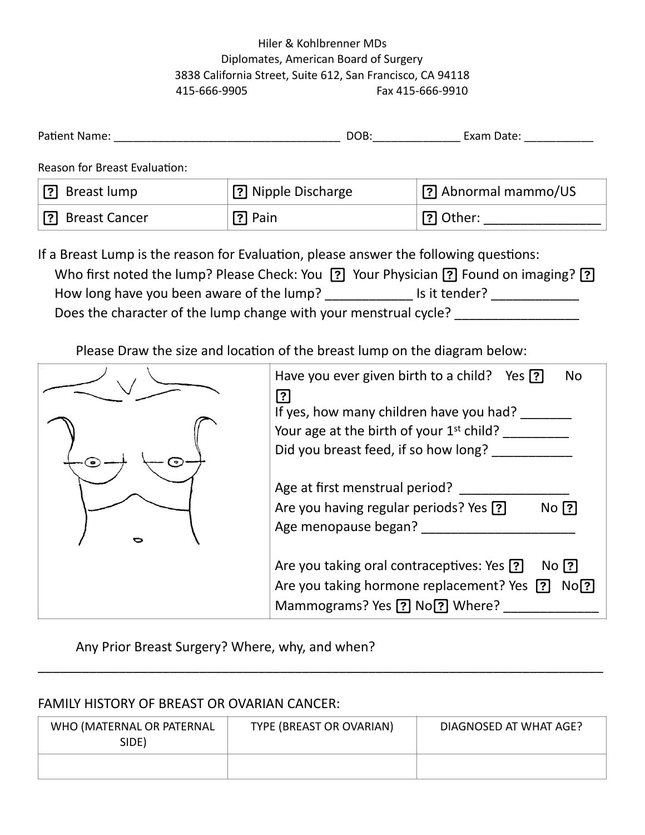## Hiler & Kohlbrenner MDs Diplomates, American Board of Surgery 3838 California Street, Suite 612, San Francisco, CA 94118 415-666-9905 Fax 415-666-9910

| Patient Name:                                                                                                                                                               | DOB:                 | Exam Date:            |  |  |
|-----------------------------------------------------------------------------------------------------------------------------------------------------------------------------|----------------------|-----------------------|--|--|
| <b>Reason for Breast Evaluation:</b>                                                                                                                                        |                      |                       |  |  |
| [?] Breast lump                                                                                                                                                             | [?] Nipple Discharge | [?] Abnormal mammo/US |  |  |
| [?] Breast Cancer                                                                                                                                                           | $[?]$ Pain           | ? Other:              |  |  |
| If a Breast Lump is the reason for Evaluation, please answer the following questions:<br>Who first noted the lump? Please Check: You ? Your Physician ? Found on imaging? ? |                      |                       |  |  |

How long have you been aware of the lump? \_\_\_\_\_\_\_\_\_\_\_\_\_\_\_ Is it tender? \_\_\_\_\_\_\_\_\_\_\_\_\_\_ Does the character of the lump change with your menstrual cycle? \_\_\_\_\_\_\_\_\_\_\_\_\_\_\_

Please Draw the size and location of the breast lump on the diagram below:

| Have you ever given birth to a child? Yes ?<br><b>No</b><br>$\mathbf{?}$                                                                  |
|-------------------------------------------------------------------------------------------------------------------------------------------|
| If yes, how many children have you had?                                                                                                   |
| Your age at the birth of your 1 <sup>st</sup> child?<br>Did you breast feed, if so how long?                                              |
| Age at first menstrual period?<br>Are you having regular periods? Yes ?<br>$No$ $[?]$<br>Age menopause began?                             |
| Are you taking oral contraceptives: Yes ?<br>No [?]<br>Are you taking hormone replacement? Yes ?<br>No[?]<br>Mammograms? Yes ? No? Where? |

Any Prior Breast Surgery? Where, why, and when?

## FAMILY HISTORY OF BREAST OR OVARIAN CANCER:

| WHO (MATERNAL OR PATERNAL<br>SIDE) | TYPE (BREAST OR OVARIAN) | DIAGNOSED AT WHAT AGE? |
|------------------------------------|--------------------------|------------------------|
|                                    |                          |                        |

\_\_\_\_\_\_\_\_\_\_\_\_\_\_\_\_\_\_\_\_\_\_\_\_\_\_\_\_\_\_\_\_\_\_\_\_\_\_\_\_\_\_\_\_\_\_\_\_\_\_\_\_\_\_\_\_\_\_\_\_\_\_\_\_\_\_\_\_\_\_\_\_\_\_\_\_\_